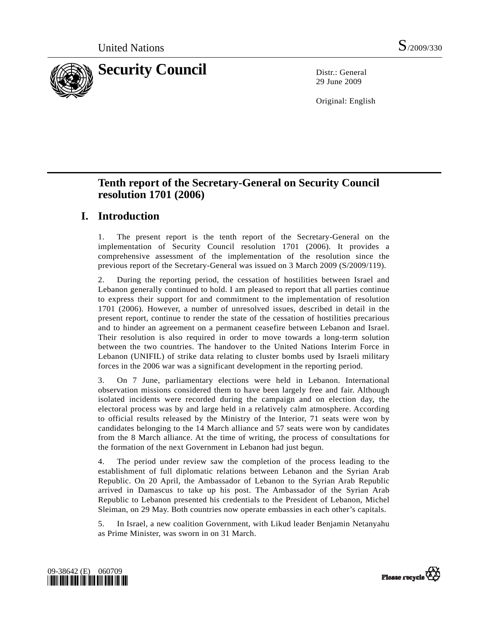

29 June 2009

Original: English

# **Tenth report of the Secretary-General on Security Council resolution 1701 (2006)**

# **I. Introduction**

1. The present report is the tenth report of the Secretary-General on the implementation of Security Council resolution 1701 (2006). It provides a comprehensive assessment of the implementation of the resolution since the previous report of the Secretary-General was issued on 3 March 2009 (S/2009/119).

2. During the reporting period, the cessation of hostilities between Israel and Lebanon generally continued to hold. I am pleased to report that all parties continue to express their support for and commitment to the implementation of resolution 1701 (2006). However, a number of unresolved issues, described in detail in the present report, continue to render the state of the cessation of hostilities precarious and to hinder an agreement on a permanent ceasefire between Lebanon and Israel. Their resolution is also required in order to move towards a long-term solution between the two countries. The handover to the United Nations Interim Force in Lebanon (UNIFIL) of strike data relating to cluster bombs used by Israeli military forces in the 2006 war was a significant development in the reporting period.

3. On 7 June, parliamentary elections were held in Lebanon. International observation missions considered them to have been largely free and fair. Although isolated incidents were recorded during the campaign and on election day, the electoral process was by and large held in a relatively calm atmosphere. According to official results released by the Ministry of the Interior, 71 seats were won by candidates belonging to the 14 March alliance and 57 seats were won by candidates from the 8 March alliance. At the time of writing, the process of consultations for the formation of the next Government in Lebanon had just begun.

4. The period under review saw the completion of the process leading to the establishment of full diplomatic relations between Lebanon and the Syrian Arab Republic. On 20 April, the Ambassador of Lebanon to the Syrian Arab Republic arrived in Damascus to take up his post. The Ambassador of the Syrian Arab Republic to Lebanon presented his credentials to the President of Lebanon, Michel Sleiman, on 29 May. Both countries now operate embassies in each other's capitals.

5. In Israel, a new coalition Government, with Likud leader Benjamin Netanyahu as Prime Minister, was sworn in on 31 March.



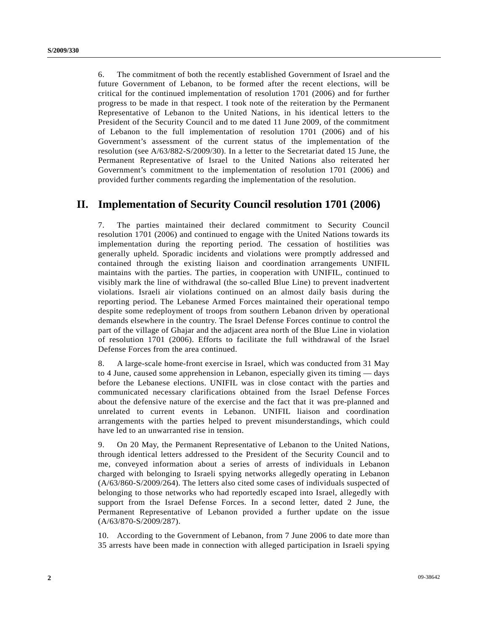6. The commitment of both the recently established Government of Israel and the future Government of Lebanon, to be formed after the recent elections, will be critical for the continued implementation of resolution 1701 (2006) and for further progress to be made in that respect. I took note of the reiteration by the Permanent Representative of Lebanon to the United Nations, in his identical letters to the President of the Security Council and to me dated 11 June 2009, of the commitment of Lebanon to the full implementation of resolution 1701 (2006) and of his Government's assessment of the current status of the implementation of the resolution (see A/63/882-S/2009/30). In a letter to the Secretariat dated 15 June, the Permanent Representative of Israel to the United Nations also reiterated her Government's commitment to the implementation of resolution 1701 (2006) and provided further comments regarding the implementation of the resolution.

# **II. Implementation of Security Council resolution 1701 (2006)**

7. The parties maintained their declared commitment to Security Council resolution 1701 (2006) and continued to engage with the United Nations towards its implementation during the reporting period. The cessation of hostilities was generally upheld. Sporadic incidents and violations were promptly addressed and contained through the existing liaison and coordination arrangements UNIFIL maintains with the parties. The parties, in cooperation with UNIFIL, continued to visibly mark the line of withdrawal (the so-called Blue Line) to prevent inadvertent violations. Israeli air violations continued on an almost daily basis during the reporting period. The Lebanese Armed Forces maintained their operational tempo despite some redeployment of troops from southern Lebanon driven by operational demands elsewhere in the country. The Israel Defense Forces continue to control the part of the village of Ghajar and the adjacent area north of the Blue Line in violation of resolution 1701 (2006). Efforts to facilitate the full withdrawal of the Israel Defense Forces from the area continued.

8. A large-scale home-front exercise in Israel, which was conducted from 31 May to 4 June, caused some apprehension in Lebanon, especially given its timing — days before the Lebanese elections. UNIFIL was in close contact with the parties and communicated necessary clarifications obtained from the Israel Defense Forces about the defensive nature of the exercise and the fact that it was pre-planned and unrelated to current events in Lebanon. UNIFIL liaison and coordination arrangements with the parties helped to prevent misunderstandings, which could have led to an unwarranted rise in tension.

9. On 20 May, the Permanent Representative of Lebanon to the United Nations, through identical letters addressed to the President of the Security Council and to me, conveyed information about a series of arrests of individuals in Lebanon charged with belonging to Israeli spying networks allegedly operating in Lebanon (A/63/860-S/2009/264). The letters also cited some cases of individuals suspected of belonging to those networks who had reportedly escaped into Israel, allegedly with support from the Israel Defense Forces. In a second letter, dated 2 June, the Permanent Representative of Lebanon provided a further update on the issue (A/63/870-S/2009/287).

10. According to the Government of Lebanon, from 7 June 2006 to date more than 35 arrests have been made in connection with alleged participation in Israeli spying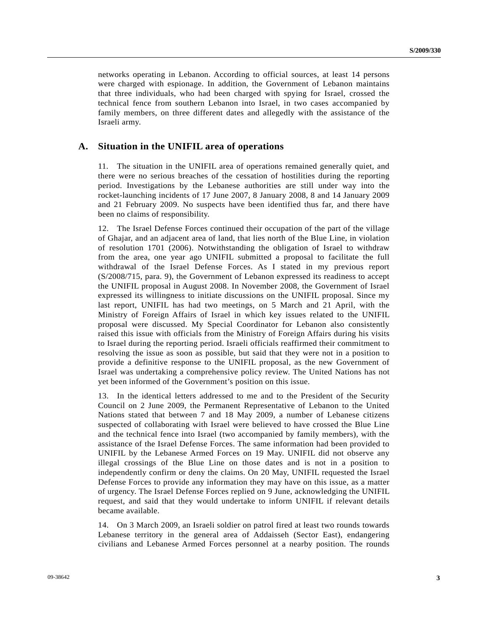networks operating in Lebanon. According to official sources, at least 14 persons were charged with espionage. In addition, the Government of Lebanon maintains that three individuals, who had been charged with spying for Israel, crossed the technical fence from southern Lebanon into Israel, in two cases accompanied by family members, on three different dates and allegedly with the assistance of the Israeli army.

#### **A. Situation in the UNIFIL area of operations**

11. The situation in the UNIFIL area of operations remained generally quiet, and there were no serious breaches of the cessation of hostilities during the reporting period. Investigations by the Lebanese authorities are still under way into the rocket-launching incidents of 17 June 2007, 8 January 2008, 8 and 14 January 2009 and 21 February 2009. No suspects have been identified thus far, and there have been no claims of responsibility.

12. The Israel Defense Forces continued their occupation of the part of the village of Ghajar, and an adjacent area of land, that lies north of the Blue Line, in violation of resolution 1701 (2006). Notwithstanding the obligation of Israel to withdraw from the area, one year ago UNIFIL submitted a proposal to facilitate the full withdrawal of the Israel Defense Forces. As I stated in my previous report (S/2008/715, para. 9), the Government of Lebanon expressed its readiness to accept the UNIFIL proposal in August 2008. In November 2008, the Government of Israel expressed its willingness to initiate discussions on the UNIFIL proposal. Since my last report, UNIFIL has had two meetings, on 5 March and 21 April, with the Ministry of Foreign Affairs of Israel in which key issues related to the UNIFIL proposal were discussed. My Special Coordinator for Lebanon also consistently raised this issue with officials from the Ministry of Foreign Affairs during his visits to Israel during the reporting period. Israeli officials reaffirmed their commitment to resolving the issue as soon as possible, but said that they were not in a position to provide a definitive response to the UNIFIL proposal, as the new Government of Israel was undertaking a comprehensive policy review. The United Nations has not yet been informed of the Government's position on this issue.

13. In the identical letters addressed to me and to the President of the Security Council on 2 June 2009, the Permanent Representative of Lebanon to the United Nations stated that between 7 and 18 May 2009, a number of Lebanese citizens suspected of collaborating with Israel were believed to have crossed the Blue Line and the technical fence into Israel (two accompanied by family members), with the assistance of the Israel Defense Forces. The same information had been provided to UNIFIL by the Lebanese Armed Forces on 19 May. UNIFIL did not observe any illegal crossings of the Blue Line on those dates and is not in a position to independently confirm or deny the claims. On 20 May, UNIFIL requested the Israel Defense Forces to provide any information they may have on this issue, as a matter of urgency. The Israel Defense Forces replied on 9 June, acknowledging the UNIFIL request, and said that they would undertake to inform UNIFIL if relevant details became available.

14. On 3 March 2009, an Israeli soldier on patrol fired at least two rounds towards Lebanese territory in the general area of Addaisseh (Sector East), endangering civilians and Lebanese Armed Forces personnel at a nearby position. The rounds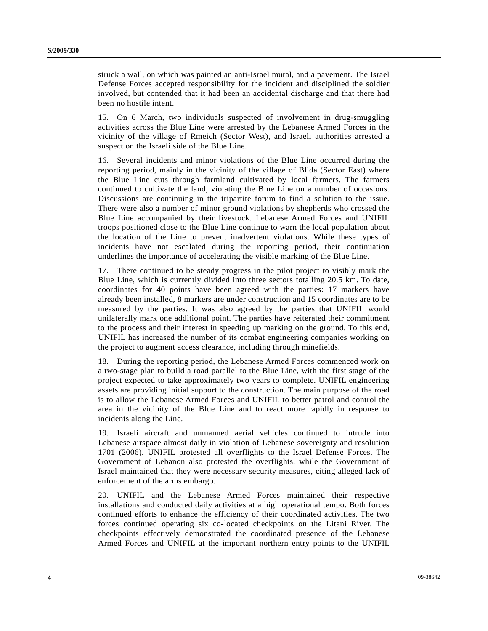struck a wall, on which was painted an anti-Israel mural, and a pavement. The Israel Defense Forces accepted responsibility for the incident and disciplined the soldier involved, but contended that it had been an accidental discharge and that there had been no hostile intent.

15. On 6 March, two individuals suspected of involvement in drug-smuggling activities across the Blue Line were arrested by the Lebanese Armed Forces in the vicinity of the village of Rmeich (Sector West), and Israeli authorities arrested a suspect on the Israeli side of the Blue Line.

16. Several incidents and minor violations of the Blue Line occurred during the reporting period, mainly in the vicinity of the village of Blida (Sector East) where the Blue Line cuts through farmland cultivated by local farmers. The farmers continued to cultivate the land, violating the Blue Line on a number of occasions. Discussions are continuing in the tripartite forum to find a solution to the issue. There were also a number of minor ground violations by shepherds who crossed the Blue Line accompanied by their livestock. Lebanese Armed Forces and UNIFIL troops positioned close to the Blue Line continue to warn the local population about the location of the Line to prevent inadvertent violations. While these types of incidents have not escalated during the reporting period, their continuation underlines the importance of accelerating the visible marking of the Blue Line.

17. There continued to be steady progress in the pilot project to visibly mark the Blue Line, which is currently divided into three sectors totalling 20.5 km. To date, coordinates for 40 points have been agreed with the parties: 17 markers have already been installed, 8 markers are under construction and 15 coordinates are to be measured by the parties. It was also agreed by the parties that UNIFIL would unilaterally mark one additional point. The parties have reiterated their commitment to the process and their interest in speeding up marking on the ground. To this end, UNIFIL has increased the number of its combat engineering companies working on the project to augment access clearance, including through minefields.

18. During the reporting period, the Lebanese Armed Forces commenced work on a two-stage plan to build a road parallel to the Blue Line, with the first stage of the project expected to take approximately two years to complete. UNIFIL engineering assets are providing initial support to the construction. The main purpose of the road is to allow the Lebanese Armed Forces and UNIFIL to better patrol and control the area in the vicinity of the Blue Line and to react more rapidly in response to incidents along the Line.

19. Israeli aircraft and unmanned aerial vehicles continued to intrude into Lebanese airspace almost daily in violation of Lebanese sovereignty and resolution 1701 (2006). UNIFIL protested all overflights to the Israel Defense Forces. The Government of Lebanon also protested the overflights, while the Government of Israel maintained that they were necessary security measures, citing alleged lack of enforcement of the arms embargo.

20. UNIFIL and the Lebanese Armed Forces maintained their respective installations and conducted daily activities at a high operational tempo. Both forces continued efforts to enhance the efficiency of their coordinated activities. The two forces continued operating six co-located checkpoints on the Litani River. The checkpoints effectively demonstrated the coordinated presence of the Lebanese Armed Forces and UNIFIL at the important northern entry points to the UNIFIL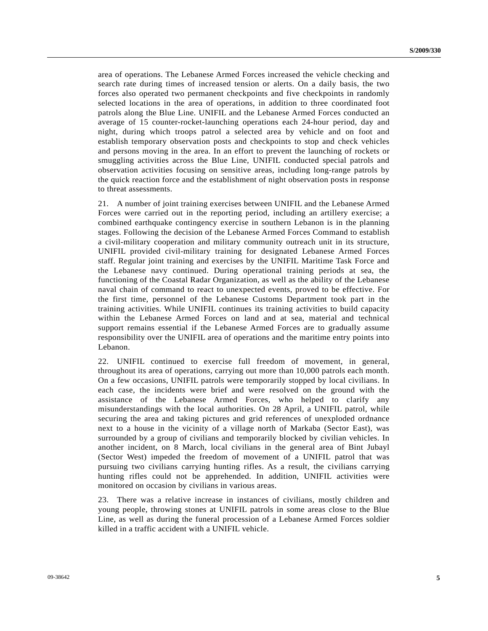area of operations. The Lebanese Armed Forces increased the vehicle checking and search rate during times of increased tension or alerts. On a daily basis, the two forces also operated two permanent checkpoints and five checkpoints in randomly selected locations in the area of operations, in addition to three coordinated foot patrols along the Blue Line. UNIFIL and the Lebanese Armed Forces conducted an average of 15 counter-rocket-launching operations each 24-hour period, day and night, during which troops patrol a selected area by vehicle and on foot and establish temporary observation posts and checkpoints to stop and check vehicles and persons moving in the area. In an effort to prevent the launching of rockets or smuggling activities across the Blue Line, UNIFIL conducted special patrols and observation activities focusing on sensitive areas, including long-range patrols by the quick reaction force and the establishment of night observation posts in response to threat assessments.

21. A number of joint training exercises between UNIFIL and the Lebanese Armed Forces were carried out in the reporting period, including an artillery exercise; a combined earthquake contingency exercise in southern Lebanon is in the planning stages. Following the decision of the Lebanese Armed Forces Command to establish a civil-military cooperation and military community outreach unit in its structure, UNIFIL provided civil-military training for designated Lebanese Armed Forces staff. Regular joint training and exercises by the UNIFIL Maritime Task Force and the Lebanese navy continued. During operational training periods at sea, the functioning of the Coastal Radar Organization, as well as the ability of the Lebanese naval chain of command to react to unexpected events, proved to be effective. For the first time, personnel of the Lebanese Customs Department took part in the training activities. While UNIFIL continues its training activities to build capacity within the Lebanese Armed Forces on land and at sea, material and technical support remains essential if the Lebanese Armed Forces are to gradually assume responsibility over the UNIFIL area of operations and the maritime entry points into Lebanon.

22. UNIFIL continued to exercise full freedom of movement, in general, throughout its area of operations, carrying out more than 10,000 patrols each month. On a few occasions, UNIFIL patrols were temporarily stopped by local civilians. In each case, the incidents were brief and were resolved on the ground with the assistance of the Lebanese Armed Forces, who helped to clarify any misunderstandings with the local authorities. On 28 April, a UNIFIL patrol, while securing the area and taking pictures and grid references of unexploded ordnance next to a house in the vicinity of a village north of Markaba (Sector East), was surrounded by a group of civilians and temporarily blocked by civilian vehicles. In another incident, on 8 March, local civilians in the general area of Bint Jubayl (Sector West) impeded the freedom of movement of a UNIFIL patrol that was pursuing two civilians carrying hunting rifles. As a result, the civilians carrying hunting rifles could not be apprehended. In addition, UNIFIL activities were monitored on occasion by civilians in various areas.

23. There was a relative increase in instances of civilians, mostly children and young people, throwing stones at UNIFIL patrols in some areas close to the Blue Line, as well as during the funeral procession of a Lebanese Armed Forces soldier killed in a traffic accident with a UNIFIL vehicle.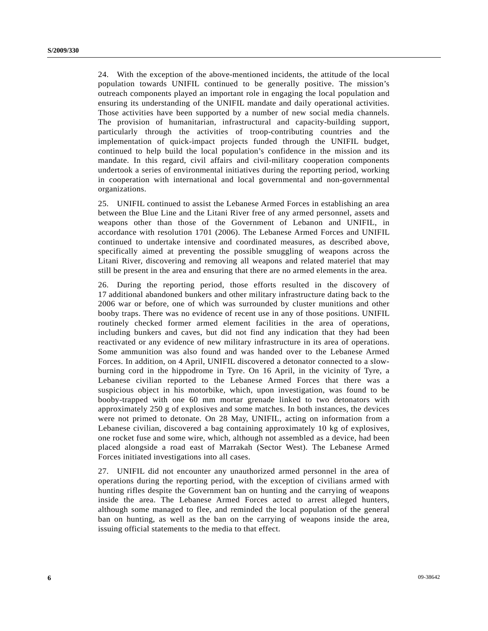24. With the exception of the above-mentioned incidents, the attitude of the local population towards UNIFIL continued to be generally positive. The mission's outreach components played an important role in engaging the local population and ensuring its understanding of the UNIFIL mandate and daily operational activities. Those activities have been supported by a number of new social media channels. The provision of humanitarian, infrastructural and capacity-building support, particularly through the activities of troop-contributing countries and the implementation of quick-impact projects funded through the UNIFIL budget, continued to help build the local population's confidence in the mission and its mandate. In this regard, civil affairs and civil-military cooperation components undertook a series of environmental initiatives during the reporting period, working in cooperation with international and local governmental and non-governmental organizations.

25. UNIFIL continued to assist the Lebanese Armed Forces in establishing an area between the Blue Line and the Litani River free of any armed personnel, assets and weapons other than those of the Government of Lebanon and UNIFIL, in accordance with resolution 1701 (2006). The Lebanese Armed Forces and UNIFIL continued to undertake intensive and coordinated measures, as described above, specifically aimed at preventing the possible smuggling of weapons across the Litani River, discovering and removing all weapons and related materiel that may still be present in the area and ensuring that there are no armed elements in the area.

26. During the reporting period, those efforts resulted in the discovery of 17 additional abandoned bunkers and other military infrastructure dating back to the 2006 war or before, one of which was surrounded by cluster munitions and other booby traps. There was no evidence of recent use in any of those positions. UNIFIL routinely checked former armed element facilities in the area of operations, including bunkers and caves, but did not find any indication that they had been reactivated or any evidence of new military infrastructure in its area of operations. Some ammunition was also found and was handed over to the Lebanese Armed Forces. In addition, on 4 April, UNIFIL discovered a detonator connected to a slowburning cord in the hippodrome in Tyre. On 16 April, in the vicinity of Tyre, a Lebanese civilian reported to the Lebanese Armed Forces that there was a suspicious object in his motorbike, which, upon investigation, was found to be booby-trapped with one 60 mm mortar grenade linked to two detonators with approximately 250 g of explosives and some matches. In both instances, the devices were not primed to detonate. On 28 May, UNIFIL, acting on information from a Lebanese civilian, discovered a bag containing approximately 10 kg of explosives, one rocket fuse and some wire, which, although not assembled as a device, had been placed alongside a road east of Marrakah (Sector West). The Lebanese Armed Forces initiated investigations into all cases.

27. UNIFIL did not encounter any unauthorized armed personnel in the area of operations during the reporting period, with the exception of civilians armed with hunting rifles despite the Government ban on hunting and the carrying of weapons inside the area. The Lebanese Armed Forces acted to arrest alleged hunters, although some managed to flee, and reminded the local population of the general ban on hunting, as well as the ban on the carrying of weapons inside the area, issuing official statements to the media to that effect.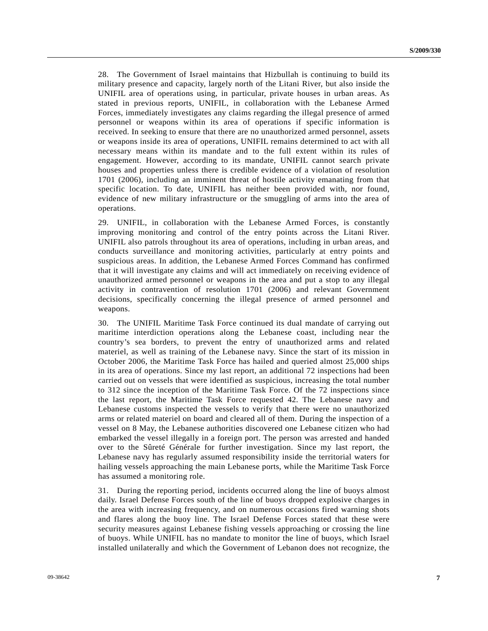28. The Government of Israel maintains that Hizbullah is continuing to build its military presence and capacity, largely north of the Litani River, but also inside the UNIFIL area of operations using, in particular, private houses in urban areas. As stated in previous reports, UNIFIL, in collaboration with the Lebanese Armed Forces, immediately investigates any claims regarding the illegal presence of armed personnel or weapons within its area of operations if specific information is received. In seeking to ensure that there are no unauthorized armed personnel, assets or weapons inside its area of operations, UNIFIL remains determined to act with all necessary means within its mandate and to the full extent within its rules of engagement. However, according to its mandate, UNIFIL cannot search private houses and properties unless there is credible evidence of a violation of resolution 1701 (2006), including an imminent threat of hostile activity emanating from that specific location. To date, UNIFIL has neither been provided with, nor found, evidence of new military infrastructure or the smuggling of arms into the area of operations.

29. UNIFIL, in collaboration with the Lebanese Armed Forces, is constantly improving monitoring and control of the entry points across the Litani River. UNIFIL also patrols throughout its area of operations, including in urban areas, and conducts surveillance and monitoring activities, particularly at entry points and suspicious areas. In addition, the Lebanese Armed Forces Command has confirmed that it will investigate any claims and will act immediately on receiving evidence of unauthorized armed personnel or weapons in the area and put a stop to any illegal activity in contravention of resolution 1701 (2006) and relevant Government decisions, specifically concerning the illegal presence of armed personnel and weapons.

30. The UNIFIL Maritime Task Force continued its dual mandate of carrying out maritime interdiction operations along the Lebanese coast, including near the country's sea borders, to prevent the entry of unauthorized arms and related materiel, as well as training of the Lebanese navy. Since the start of its mission in October 2006, the Maritime Task Force has hailed and queried almost 25,000 ships in its area of operations. Since my last report, an additional 72 inspections had been carried out on vessels that were identified as suspicious, increasing the total number to 312 since the inception of the Maritime Task Force. Of the 72 inspections since the last report, the Maritime Task Force requested 42. The Lebanese navy and Lebanese customs inspected the vessels to verify that there were no unauthorized arms or related materiel on board and cleared all of them. During the inspection of a vessel on 8 May, the Lebanese authorities discovered one Lebanese citizen who had embarked the vessel illegally in a foreign port. The person was arrested and handed over to the Sûreté Générale for further investigation. Since my last report, the Lebanese navy has regularly assumed responsibility inside the territorial waters for hailing vessels approaching the main Lebanese ports, while the Maritime Task Force has assumed a monitoring role.

31. During the reporting period, incidents occurred along the line of buoys almost daily. Israel Defense Forces south of the line of buoys dropped explosive charges in the area with increasing frequency, and on numerous occasions fired warning shots and flares along the buoy line. The Israel Defense Forces stated that these were security measures against Lebanese fishing vessels approaching or crossing the line of buoys. While UNIFIL has no mandate to monitor the line of buoys, which Israel installed unilaterally and which the Government of Lebanon does not recognize, the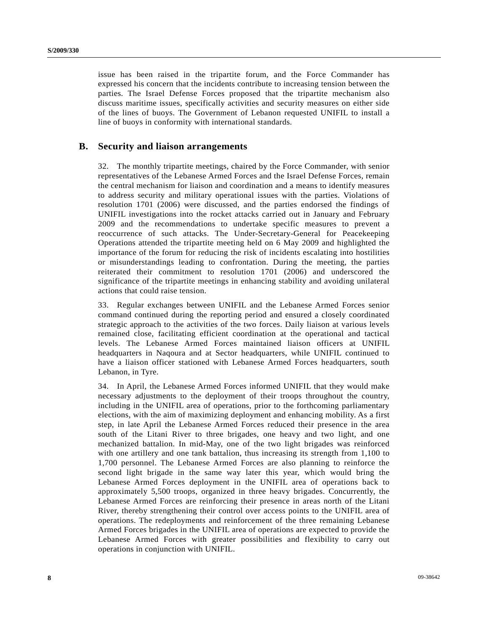issue has been raised in the tripartite forum, and the Force Commander has expressed his concern that the incidents contribute to increasing tension between the parties. The Israel Defense Forces proposed that the tripartite mechanism also discuss maritime issues, specifically activities and security measures on either side of the lines of buoys. The Government of Lebanon requested UNIFIL to install a line of buoys in conformity with international standards.

### **B. Security and liaison arrangements**

32. The monthly tripartite meetings, chaired by the Force Commander, with senior representatives of the Lebanese Armed Forces and the Israel Defense Forces, remain the central mechanism for liaison and coordination and a means to identify measures to address security and military operational issues with the parties. Violations of resolution 1701 (2006) were discussed, and the parties endorsed the findings of UNIFIL investigations into the rocket attacks carried out in January and February 2009 and the recommendations to undertake specific measures to prevent a reoccurrence of such attacks. The Under-Secretary-General for Peacekeeping Operations attended the tripartite meeting held on 6 May 2009 and highlighted the importance of the forum for reducing the risk of incidents escalating into hostilities or misunderstandings leading to confrontation. During the meeting, the parties reiterated their commitment to resolution 1701 (2006) and underscored the significance of the tripartite meetings in enhancing stability and avoiding unilateral actions that could raise tension.

33. Regular exchanges between UNIFIL and the Lebanese Armed Forces senior command continued during the reporting period and ensured a closely coordinated strategic approach to the activities of the two forces. Daily liaison at various levels remained close, facilitating efficient coordination at the operational and tactical levels. The Lebanese Armed Forces maintained liaison officers at UNIFIL headquarters in Naqoura and at Sector headquarters, while UNIFIL continued to have a liaison officer stationed with Lebanese Armed Forces headquarters, south Lebanon, in Tyre.

34. In April, the Lebanese Armed Forces informed UNIFIL that they would make necessary adjustments to the deployment of their troops throughout the country, including in the UNIFIL area of operations, prior to the forthcoming parliamentary elections, with the aim of maximizing deployment and enhancing mobility. As a first step, in late April the Lebanese Armed Forces reduced their presence in the area south of the Litani River to three brigades, one heavy and two light, and one mechanized battalion. In mid-May, one of the two light brigades was reinforced with one artillery and one tank battalion, thus increasing its strength from 1,100 to 1,700 personnel. The Lebanese Armed Forces are also planning to reinforce the second light brigade in the same way later this year, which would bring the Lebanese Armed Forces deployment in the UNIFIL area of operations back to approximately 5,500 troops, organized in three heavy brigades. Concurrently, the Lebanese Armed Forces are reinforcing their presence in areas north of the Litani River, thereby strengthening their control over access points to the UNIFIL area of operations. The redeployments and reinforcement of the three remaining Lebanese Armed Forces brigades in the UNIFIL area of operations are expected to provide the Lebanese Armed Forces with greater possibilities and flexibility to carry out operations in conjunction with UNIFIL.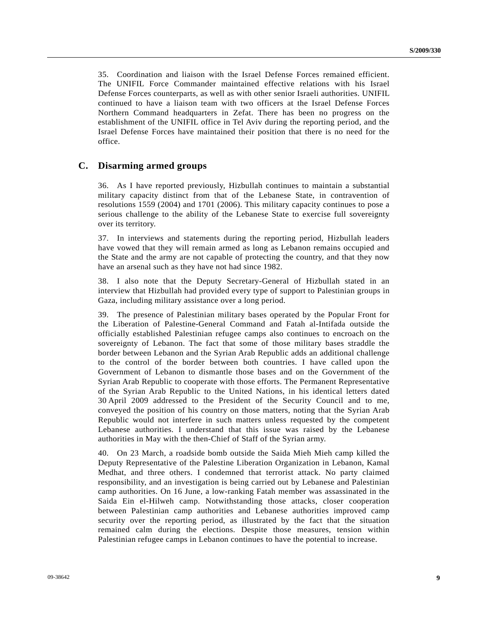35. Coordination and liaison with the Israel Defense Forces remained efficient. The UNIFIL Force Commander maintained effective relations with his Israel Defense Forces counterparts, as well as with other senior Israeli authorities. UNIFIL continued to have a liaison team with two officers at the Israel Defense Forces Northern Command headquarters in Zefat. There has been no progress on the establishment of the UNIFIL office in Tel Aviv during the reporting period, and the Israel Defense Forces have maintained their position that there is no need for the office.

#### **C. Disarming armed groups**

36. As I have reported previously, Hizbullah continues to maintain a substantial military capacity distinct from that of the Lebanese State, in contravention of resolutions 1559 (2004) and 1701 (2006). This military capacity continues to pose a serious challenge to the ability of the Lebanese State to exercise full sovereignty over its territory.

37. In interviews and statements during the reporting period, Hizbullah leaders have vowed that they will remain armed as long as Lebanon remains occupied and the State and the army are not capable of protecting the country, and that they now have an arsenal such as they have not had since 1982.

38. I also note that the Deputy Secretary-General of Hizbullah stated in an interview that Hizbullah had provided every type of support to Palestinian groups in Gaza, including military assistance over a long period.

39. The presence of Palestinian military bases operated by the Popular Front for the Liberation of Palestine-General Command and Fatah al-Intifada outside the officially established Palestinian refugee camps also continues to encroach on the sovereignty of Lebanon. The fact that some of those military bases straddle the border between Lebanon and the Syrian Arab Republic adds an additional challenge to the control of the border between both countries. I have called upon the Government of Lebanon to dismantle those bases and on the Government of the Syrian Arab Republic to cooperate with those efforts. The Permanent Representative of the Syrian Arab Republic to the United Nations, in his identical letters dated 30 April 2009 addressed to the President of the Security Council and to me, conveyed the position of his country on those matters, noting that the Syrian Arab Republic would not interfere in such matters unless requested by the competent Lebanese authorities. I understand that this issue was raised by the Lebanese authorities in May with the then-Chief of Staff of the Syrian army.

40. On 23 March, a roadside bomb outside the Saida Mieh Mieh camp killed the Deputy Representative of the Palestine Liberation Organization in Lebanon, Kamal Medhat, and three others. I condemned that terrorist attack. No party claimed responsibility, and an investigation is being carried out by Lebanese and Palestinian camp authorities. On 16 June, a low-ranking Fatah member was assassinated in the Saida Ein el-Hilweh camp. Notwithstanding those attacks, closer cooperation between Palestinian camp authorities and Lebanese authorities improved camp security over the reporting period, as illustrated by the fact that the situation remained calm during the elections. Despite those measures, tension within Palestinian refugee camps in Lebanon continues to have the potential to increase.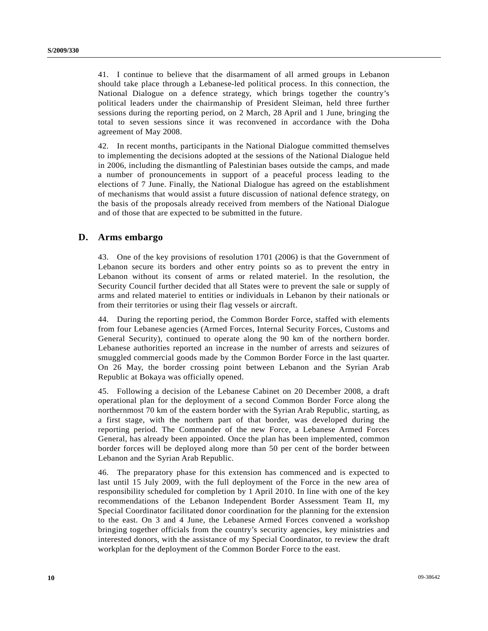41. I continue to believe that the disarmament of all armed groups in Lebanon should take place through a Lebanese-led political process. In this connection, the National Dialogue on a defence strategy, which brings together the country's political leaders under the chairmanship of President Sleiman, held three further sessions during the reporting period, on 2 March, 28 April and 1 June, bringing the total to seven sessions since it was reconvened in accordance with the Doha agreement of May 2008.

42. In recent months, participants in the National Dialogue committed themselves to implementing the decisions adopted at the sessions of the National Dialogue held in 2006, including the dismantling of Palestinian bases outside the camps, and made a number of pronouncements in support of a peaceful process leading to the elections of 7 June. Finally, the National Dialogue has agreed on the establishment of mechanisms that would assist a future discussion of national defence strategy, on the basis of the proposals already received from members of the National Dialogue and of those that are expected to be submitted in the future.

#### **D. Arms embargo**

43. One of the key provisions of resolution 1701 (2006) is that the Government of Lebanon secure its borders and other entry points so as to prevent the entry in Lebanon without its consent of arms or related materiel. In the resolution, the Security Council further decided that all States were to prevent the sale or supply of arms and related materiel to entities or individuals in Lebanon by their nationals or from their territories or using their flag vessels or aircraft.

44. During the reporting period, the Common Border Force, staffed with elements from four Lebanese agencies (Armed Forces, Internal Security Forces, Customs and General Security), continued to operate along the 90 km of the northern border. Lebanese authorities reported an increase in the number of arrests and seizures of smuggled commercial goods made by the Common Border Force in the last quarter. On 26 May, the border crossing point between Lebanon and the Syrian Arab Republic at Bokaya was officially opened.

45. Following a decision of the Lebanese Cabinet on 20 December 2008, a draft operational plan for the deployment of a second Common Border Force along the northernmost 70 km of the eastern border with the Syrian Arab Republic, starting, as a first stage, with the northern part of that border, was developed during the reporting period. The Commander of the new Force, a Lebanese Armed Forces General, has already been appointed. Once the plan has been implemented, common border forces will be deployed along more than 50 per cent of the border between Lebanon and the Syrian Arab Republic.

46. The preparatory phase for this extension has commenced and is expected to last until 15 July 2009, with the full deployment of the Force in the new area of responsibility scheduled for completion by 1 April 2010. In line with one of the key recommendations of the Lebanon Independent Border Assessment Team II, my Special Coordinator facilitated donor coordination for the planning for the extension to the east. On 3 and 4 June, the Lebanese Armed Forces convened a workshop bringing together officials from the country's security agencies, key ministries and interested donors, with the assistance of my Special Coordinator, to review the draft workplan for the deployment of the Common Border Force to the east.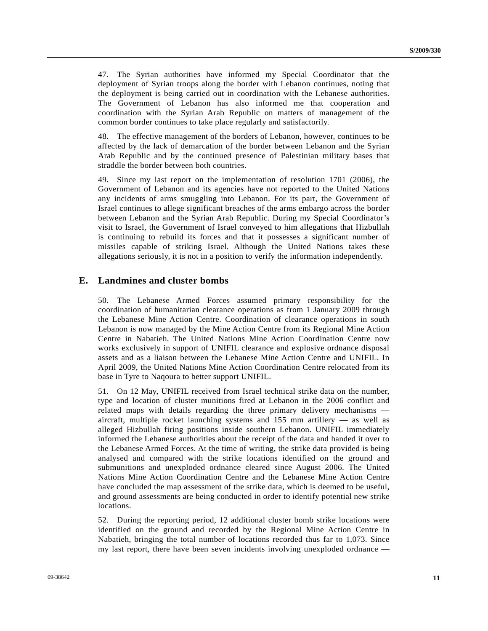47. The Syrian authorities have informed my Special Coordinator that the deployment of Syrian troops along the border with Lebanon continues, noting that the deployment is being carried out in coordination with the Lebanese authorities. The Government of Lebanon has also informed me that cooperation and coordination with the Syrian Arab Republic on matters of management of the common border continues to take place regularly and satisfactorily.

48. The effective management of the borders of Lebanon, however, continues to be affected by the lack of demarcation of the border between Lebanon and the Syrian Arab Republic and by the continued presence of Palestinian military bases that straddle the border between both countries.

49. Since my last report on the implementation of resolution 1701 (2006), the Government of Lebanon and its agencies have not reported to the United Nations any incidents of arms smuggling into Lebanon. For its part, the Government of Israel continues to allege significant breaches of the arms embargo across the border between Lebanon and the Syrian Arab Republic. During my Special Coordinator's visit to Israel, the Government of Israel conveyed to him allegations that Hizbullah is continuing to rebuild its forces and that it possesses a significant number of missiles capable of striking Israel. Although the United Nations takes these allegations seriously, it is not in a position to verify the information independently.

### **E. Landmines and cluster bombs**

50. The Lebanese Armed Forces assumed primary responsibility for the coordination of humanitarian clearance operations as from 1 January 2009 through the Lebanese Mine Action Centre. Coordination of clearance operations in south Lebanon is now managed by the Mine Action Centre from its Regional Mine Action Centre in Nabatieh. The United Nations Mine Action Coordination Centre now works exclusively in support of UNIFIL clearance and explosive ordnance disposal assets and as a liaison between the Lebanese Mine Action Centre and UNIFIL. In April 2009, the United Nations Mine Action Coordination Centre relocated from its base in Tyre to Naqoura to better support UNIFIL.

51. On 12 May, UNIFIL received from Israel technical strike data on the number, type and location of cluster munitions fired at Lebanon in the 2006 conflict and related maps with details regarding the three primary delivery mechanisms aircraft, multiple rocket launching systems and 155 mm artillery — as well as alleged Hizbullah firing positions inside southern Lebanon. UNIFIL immediately informed the Lebanese authorities about the receipt of the data and handed it over to the Lebanese Armed Forces. At the time of writing, the strike data provided is being analysed and compared with the strike locations identified on the ground and submunitions and unexploded ordnance cleared since August 2006. The United Nations Mine Action Coordination Centre and the Lebanese Mine Action Centre have concluded the map assessment of the strike data, which is deemed to be useful, and ground assessments are being conducted in order to identify potential new strike locations.

52. During the reporting period, 12 additional cluster bomb strike locations were identified on the ground and recorded by the Regional Mine Action Centre in Nabatieh, bringing the total number of locations recorded thus far to 1,073. Since my last report, there have been seven incidents involving unexploded ordnance —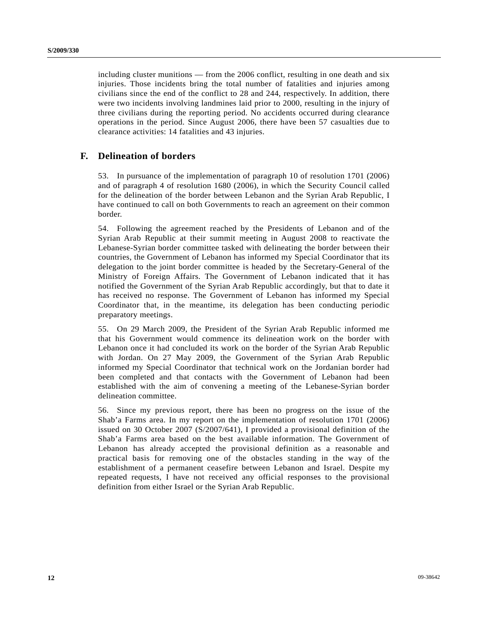including cluster munitions — from the 2006 conflict, resulting in one death and six injuries. Those incidents bring the total number of fatalities and injuries among civilians since the end of the conflict to 28 and 244, respectively. In addition, there were two incidents involving landmines laid prior to 2000, resulting in the injury of three civilians during the reporting period. No accidents occurred during clearance operations in the period. Since August 2006, there have been 57 casualties due to clearance activities: 14 fatalities and 43 injuries.

### **F. Delineation of borders**

53. In pursuance of the implementation of paragraph 10 of resolution 1701 (2006) and of paragraph 4 of resolution 1680 (2006), in which the Security Council called for the delineation of the border between Lebanon and the Syrian Arab Republic, I have continued to call on both Governments to reach an agreement on their common border.

54. Following the agreement reached by the Presidents of Lebanon and of the Syrian Arab Republic at their summit meeting in August 2008 to reactivate the Lebanese-Syrian border committee tasked with delineating the border between their countries, the Government of Lebanon has informed my Special Coordinator that its delegation to the joint border committee is headed by the Secretary-General of the Ministry of Foreign Affairs. The Government of Lebanon indicated that it has notified the Government of the Syrian Arab Republic accordingly, but that to date it has received no response. The Government of Lebanon has informed my Special Coordinator that, in the meantime, its delegation has been conducting periodic preparatory meetings.

55. On 29 March 2009, the President of the Syrian Arab Republic informed me that his Government would commence its delineation work on the border with Lebanon once it had concluded its work on the border of the Syrian Arab Republic with Jordan. On 27 May 2009, the Government of the Syrian Arab Republic informed my Special Coordinator that technical work on the Jordanian border had been completed and that contacts with the Government of Lebanon had been established with the aim of convening a meeting of the Lebanese-Syrian border delineation committee.

56. Since my previous report, there has been no progress on the issue of the Shab'a Farms area. In my report on the implementation of resolution 1701 (2006) issued on 30 October 2007 (S/2007/641), I provided a provisional definition of the Shab'a Farms area based on the best available information. The Government of Lebanon has already accepted the provisional definition as a reasonable and practical basis for removing one of the obstacles standing in the way of the establishment of a permanent ceasefire between Lebanon and Israel. Despite my repeated requests, I have not received any official responses to the provisional definition from either Israel or the Syrian Arab Republic.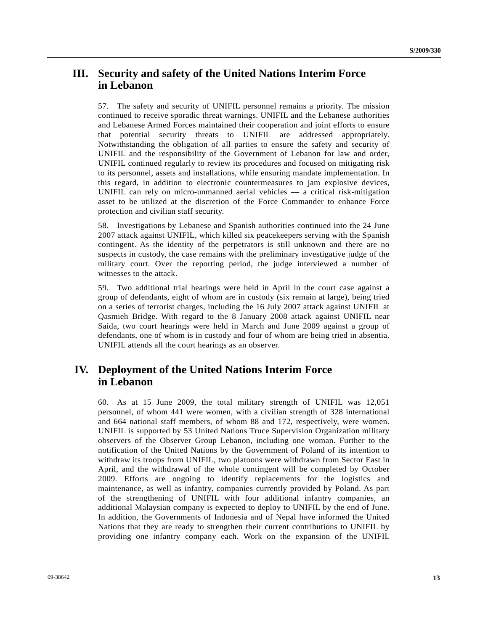# **III. Security and safety of the United Nations Interim Force in Lebanon**

57. The safety and security of UNIFIL personnel remains a priority. The mission continued to receive sporadic threat warnings. UNIFIL and the Lebanese authorities and Lebanese Armed Forces maintained their cooperation and joint efforts to ensure that potential security threats to UNIFIL are addressed appropriately. Notwithstanding the obligation of all parties to ensure the safety and security of UNIFIL and the responsibility of the Government of Lebanon for law and order, UNIFIL continued regularly to review its procedures and focused on mitigating risk to its personnel, assets and installations, while ensuring mandate implementation. In this regard, in addition to electronic countermeasures to jam explosive devices, UNIFIL can rely on micro-unmanned aerial vehicles — a critical risk-mitigation asset to be utilized at the discretion of the Force Commander to enhance Force protection and civilian staff security.

58. Investigations by Lebanese and Spanish authorities continued into the 24 June 2007 attack against UNIFIL, which killed six peacekeepers serving with the Spanish contingent. As the identity of the perpetrators is still unknown and there are no suspects in custody, the case remains with the preliminary investigative judge of the military court. Over the reporting period, the judge interviewed a number of witnesses to the attack.

59. Two additional trial hearings were held in April in the court case against a group of defendants, eight of whom are in custody (six remain at large), being tried on a series of terrorist charges, including the 16 July 2007 attack against UNIFIL at Qasmieh Bridge. With regard to the 8 January 2008 attack against UNIFIL near Saida, two court hearings were held in March and June 2009 against a group of defendants, one of whom is in custody and four of whom are being tried in absentia. UNIFIL attends all the court hearings as an observer.

# **IV. Deployment of the United Nations Interim Force in Lebanon**

60. As at 15 June 2009, the total military strength of UNIFIL was 12,051 personnel, of whom 441 were women, with a civilian strength of 328 international and 664 national staff members, of whom 88 and 172, respectively, were women. UNIFIL is supported by 53 United Nations Truce Supervision Organization military observers of the Observer Group Lebanon, including one woman. Further to the notification of the United Nations by the Government of Poland of its intention to withdraw its troops from UNIFIL, two platoons were withdrawn from Sector East in April, and the withdrawal of the whole contingent will be completed by October 2009. Efforts are ongoing to identify replacements for the logistics and maintenance, as well as infantry, companies currently provided by Poland. As part of the strengthening of UNIFIL with four additional infantry companies, an additional Malaysian company is expected to deploy to UNIFIL by the end of June. In addition, the Governments of Indonesia and of Nepal have informed the United Nations that they are ready to strengthen their current contributions to UNIFIL by providing one infantry company each. Work on the expansion of the UNIFIL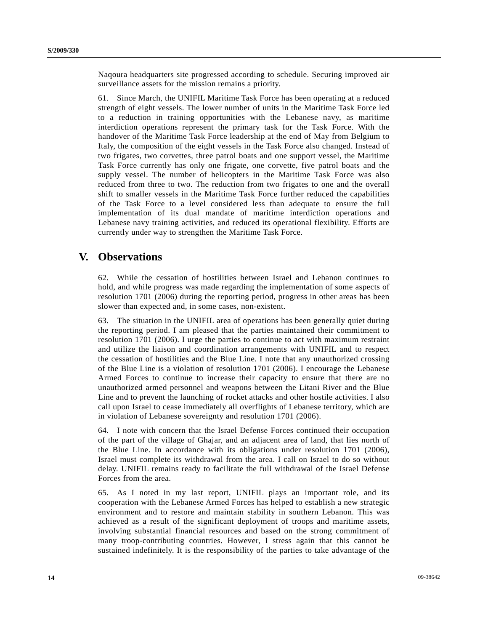Naqoura headquarters site progressed according to schedule. Securing improved air surveillance assets for the mission remains a priority.

61. Since March, the UNIFIL Maritime Task Force has been operating at a reduced strength of eight vessels. The lower number of units in the Maritime Task Force led to a reduction in training opportunities with the Lebanese navy, as maritime interdiction operations represent the primary task for the Task Force. With the handover of the Maritime Task Force leadership at the end of May from Belgium to Italy, the composition of the eight vessels in the Task Force also changed. Instead of two frigates, two corvettes, three patrol boats and one support vessel, the Maritime Task Force currently has only one frigate, one corvette, five patrol boats and the supply vessel. The number of helicopters in the Maritime Task Force was also reduced from three to two. The reduction from two frigates to one and the overall shift to smaller vessels in the Maritime Task Force further reduced the capabilities of the Task Force to a level considered less than adequate to ensure the full implementation of its dual mandate of maritime interdiction operations and Lebanese navy training activities, and reduced its operational flexibility. Efforts are currently under way to strengthen the Maritime Task Force.

### **V. Observations**

62. While the cessation of hostilities between Israel and Lebanon continues to hold, and while progress was made regarding the implementation of some aspects of resolution 1701 (2006) during the reporting period, progress in other areas has been slower than expected and, in some cases, non-existent.

63. The situation in the UNIFIL area of operations has been generally quiet during the reporting period. I am pleased that the parties maintained their commitment to resolution 1701 (2006). I urge the parties to continue to act with maximum restraint and utilize the liaison and coordination arrangements with UNIFIL and to respect the cessation of hostilities and the Blue Line. I note that any unauthorized crossing of the Blue Line is a violation of resolution 1701 (2006). I encourage the Lebanese Armed Forces to continue to increase their capacity to ensure that there are no unauthorized armed personnel and weapons between the Litani River and the Blue Line and to prevent the launching of rocket attacks and other hostile activities. I also call upon Israel to cease immediately all overflights of Lebanese territory, which are in violation of Lebanese sovereignty and resolution 1701 (2006).

64. I note with concern that the Israel Defense Forces continued their occupation of the part of the village of Ghajar, and an adjacent area of land, that lies north of the Blue Line. In accordance with its obligations under resolution 1701 (2006), Israel must complete its withdrawal from the area. I call on Israel to do so without delay. UNIFIL remains ready to facilitate the full withdrawal of the Israel Defense Forces from the area.

65. As I noted in my last report, UNIFIL plays an important role, and its cooperation with the Lebanese Armed Forces has helped to establish a new strategic environment and to restore and maintain stability in southern Lebanon. This was achieved as a result of the significant deployment of troops and maritime assets, involving substantial financial resources and based on the strong commitment of many troop-contributing countries. However, I stress again that this cannot be sustained indefinitely. It is the responsibility of the parties to take advantage of the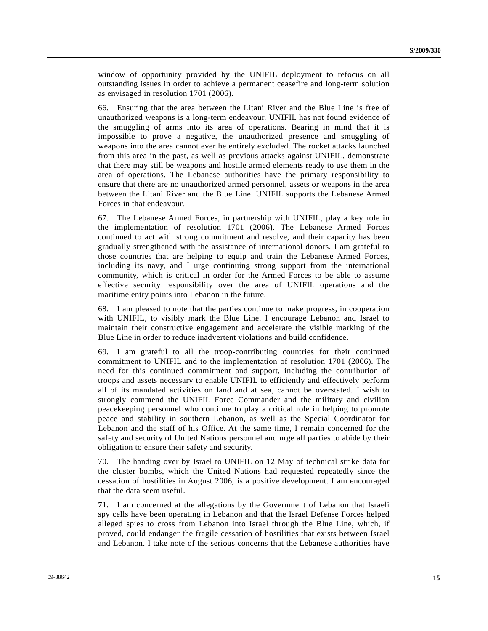window of opportunity provided by the UNIFIL deployment to refocus on all outstanding issues in order to achieve a permanent ceasefire and long-term solution as envisaged in resolution 1701 (2006).

66. Ensuring that the area between the Litani River and the Blue Line is free of unauthorized weapons is a long-term endeavour. UNIFIL has not found evidence of the smuggling of arms into its area of operations. Bearing in mind that it is impossible to prove a negative, the unauthorized presence and smuggling of weapons into the area cannot ever be entirely excluded. The rocket attacks launched from this area in the past, as well as previous attacks against UNIFIL, demonstrate that there may still be weapons and hostile armed elements ready to use them in the area of operations. The Lebanese authorities have the primary responsibility to ensure that there are no unauthorized armed personnel, assets or weapons in the area between the Litani River and the Blue Line. UNIFIL supports the Lebanese Armed Forces in that endeavour.

67. The Lebanese Armed Forces, in partnership with UNIFIL, play a key role in the implementation of resolution 1701 (2006). The Lebanese Armed Forces continued to act with strong commitment and resolve, and their capacity has been gradually strengthened with the assistance of international donors. I am grateful to those countries that are helping to equip and train the Lebanese Armed Forces, including its navy, and I urge continuing strong support from the international community, which is critical in order for the Armed Forces to be able to assume effective security responsibility over the area of UNIFIL operations and the maritime entry points into Lebanon in the future.

68. I am pleased to note that the parties continue to make progress, in cooperation with UNIFIL, to visibly mark the Blue Line. I encourage Lebanon and Israel to maintain their constructive engagement and accelerate the visible marking of the Blue Line in order to reduce inadvertent violations and build confidence.

69. I am grateful to all the troop-contributing countries for their continued commitment to UNIFIL and to the implementation of resolution 1701 (2006). The need for this continued commitment and support, including the contribution of troops and assets necessary to enable UNIFIL to efficiently and effectively perform all of its mandated activities on land and at sea, cannot be overstated. I wish to strongly commend the UNIFIL Force Commander and the military and civilian peacekeeping personnel who continue to play a critical role in helping to promote peace and stability in southern Lebanon, as well as the Special Coordinator for Lebanon and the staff of his Office. At the same time, I remain concerned for the safety and security of United Nations personnel and urge all parties to abide by their obligation to ensure their safety and security.

70. The handing over by Israel to UNIFIL on 12 May of technical strike data for the cluster bombs, which the United Nations had requested repeatedly since the cessation of hostilities in August 2006, is a positive development. I am encouraged that the data seem useful.

71. I am concerned at the allegations by the Government of Lebanon that Israeli spy cells have been operating in Lebanon and that the Israel Defense Forces helped alleged spies to cross from Lebanon into Israel through the Blue Line, which, if proved, could endanger the fragile cessation of hostilities that exists between Israel and Lebanon. I take note of the serious concerns that the Lebanese authorities have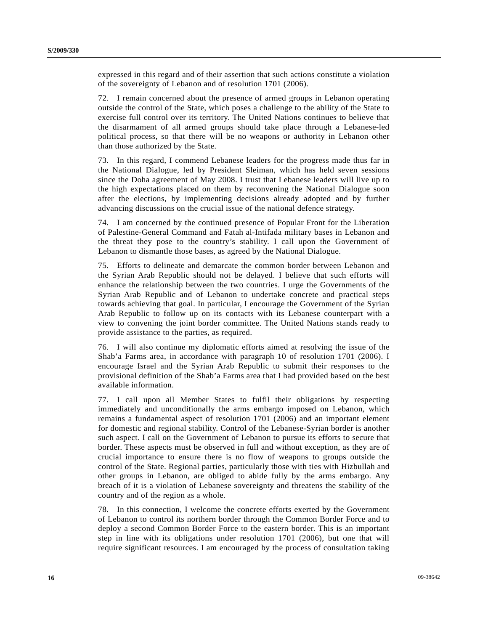expressed in this regard and of their assertion that such actions constitute a violation of the sovereignty of Lebanon and of resolution 1701 (2006).

72. I remain concerned about the presence of armed groups in Lebanon operating outside the control of the State, which poses a challenge to the ability of the State to exercise full control over its territory. The United Nations continues to believe that the disarmament of all armed groups should take place through a Lebanese-led political process, so that there will be no weapons or authority in Lebanon other than those authorized by the State.

73. In this regard, I commend Lebanese leaders for the progress made thus far in the National Dialogue, led by President Sleiman, which has held seven sessions since the Doha agreement of May 2008. I trust that Lebanese leaders will live up to the high expectations placed on them by reconvening the National Dialogue soon after the elections, by implementing decisions already adopted and by further advancing discussions on the crucial issue of the national defence strategy.

74. I am concerned by the continued presence of Popular Front for the Liberation of Palestine-General Command and Fatah al-Intifada military bases in Lebanon and the threat they pose to the country's stability. I call upon the Government of Lebanon to dismantle those bases, as agreed by the National Dialogue.

75. Efforts to delineate and demarcate the common border between Lebanon and the Syrian Arab Republic should not be delayed. I believe that such efforts will enhance the relationship between the two countries. I urge the Governments of the Syrian Arab Republic and of Lebanon to undertake concrete and practical steps towards achieving that goal. In particular, I encourage the Government of the Syrian Arab Republic to follow up on its contacts with its Lebanese counterpart with a view to convening the joint border committee. The United Nations stands ready to provide assistance to the parties, as required.

76. I will also continue my diplomatic efforts aimed at resolving the issue of the Shab'a Farms area, in accordance with paragraph 10 of resolution 1701 (2006). I encourage Israel and the Syrian Arab Republic to submit their responses to the provisional definition of the Shab'a Farms area that I had provided based on the best available information.

77. I call upon all Member States to fulfil their obligations by respecting immediately and unconditionally the arms embargo imposed on Lebanon, which remains a fundamental aspect of resolution 1701 (2006) and an important element for domestic and regional stability. Control of the Lebanese-Syrian border is another such aspect. I call on the Government of Lebanon to pursue its efforts to secure that border. These aspects must be observed in full and without exception, as they are of crucial importance to ensure there is no flow of weapons to groups outside the control of the State. Regional parties, particularly those with ties with Hizbullah and other groups in Lebanon, are obliged to abide fully by the arms embargo. Any breach of it is a violation of Lebanese sovereignty and threatens the stability of the country and of the region as a whole.

78. In this connection, I welcome the concrete efforts exerted by the Government of Lebanon to control its northern border through the Common Border Force and to deploy a second Common Border Force to the eastern border. This is an important step in line with its obligations under resolution 1701 (2006), but one that will require significant resources. I am encouraged by the process of consultation taking